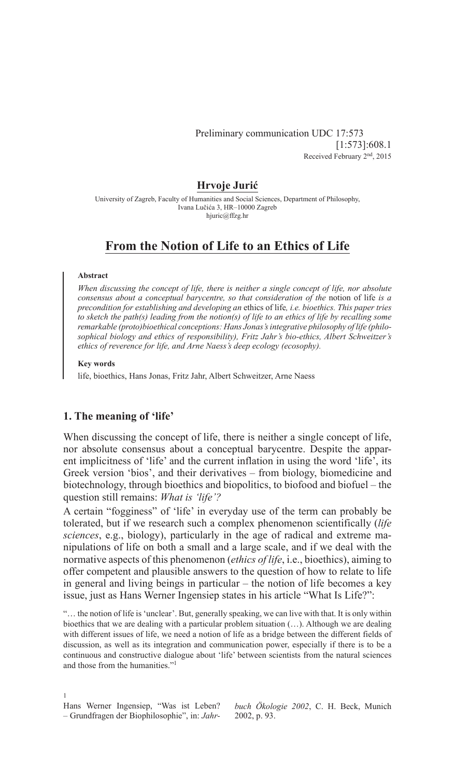## Preliminary communication UDC 17:573 [1:573]:608.1 Received February 2nd, 2015

## **Hrvoje Jurić**

University of Zagreb, Faculty of Humanities and Social Sciences, Department of Philosophy, Ivana Lučića 3, HR–10000 Zagreb hjuric@ffzg.hr

# **From the Notion of Life to an Ethics of Life**

## **Abstract**

*When discussing the concept of life, there is neither a single concept of life, nor absolute consensus about a conceptual barycentre, so that consideration of the notion of life is a precondition for establishing and developing an* ethics of life*, i.e. bioethics. This paper tries to sketch the path(s) leading from the notion(s) of life to an ethics of life by recalling some remarkable (proto)bioethical conceptions: Hans Jonas's integrative philosophy of life (philosophical biology and ethics of responsibility), Fritz Jahr's bio-ethics, Albert Schweitzer's ethics of reverence for life, and Arne Naess's deep ecology (ecosophy).*

### **Key words**

life, bioethics, Hans Jonas, Fritz Jahr, Albert Schweitzer, Arne Naess

# **1. The meaning of 'life'**

When discussing the concept of life, there is neither a single concept of life, nor absolute consensus about a conceptual barycentre. Despite the apparent implicitness of 'life' and the current inflation in using the word 'life', its Greek version 'bios', and their derivatives – from biology, biomedicine and biotechnology, through bioethics and biopolitics, to biofood and biofuel – the question still remains: *What is 'life'?*

A certain "fogginess" of 'life' in everyday use of the term can probably be tolerated, but if we research such a complex phenomenon scientifically (*life sciences*, e.g., biology), particularly in the age of radical and extreme manipulations of life on both a small and a large scale, and if we deal with the normative aspects of this phenomenon (*ethics of life*, i.e., bioethics), aiming to offer competent and plausible answers to the question of how to relate to life in general and living beings in particular – the notion of life becomes a key issue, just as Hans Werner Ingensiep states in his article "What Is Life?":

"… the notion of life is 'unclear'. But, generally speaking, we can live with that. It is only within bioethics that we are dealing with a particular problem situation (…). Although we are dealing with different issues of life, we need a notion of life as a bridge between the different fields of discussion, as well as its integration and communication power, especially if there is to be a continuous and constructive dialogue about 'life' between scientists from the natural sciences and those from the humanities."<sup>1</sup>

1 Hans Werner Ingensiep, "Was ist Leben? – Grundfragen der Biophilosophie", in: *Jahr-*

*buch Ökologie 2002*, C. H. Beck, Munich 2002, p. 93.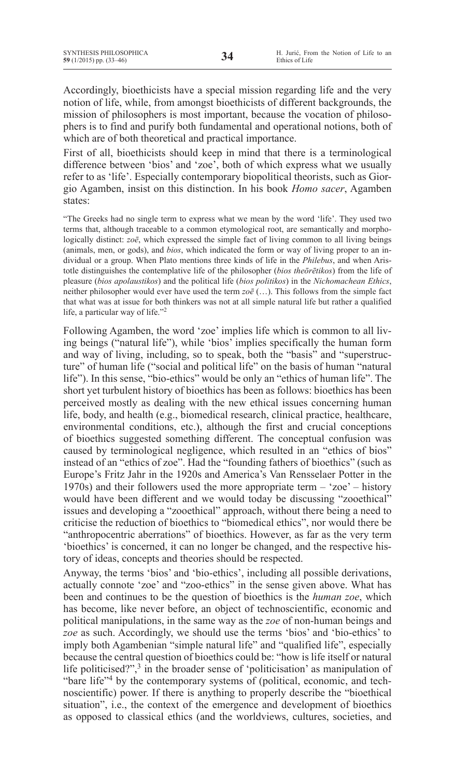Accordingly, bioethicists have a special mission regarding life and the very notion of life, while, from amongst bioethicists of different backgrounds, the mission of philosophers is most important, because the vocation of philosophers is to find and purify both fundamental and operational notions, both of which are of both theoretical and practical importance.

First of all, bioethicists should keep in mind that there is a terminological difference between 'bios' and 'zoe', both of which express what we usually refer to as 'life'. Especially contemporary biopolitical theorists, such as Giorgio Agamben, insist on this distinction. In his book *Homo sacer*, Agamben states:

"The Greeks had no single term to express what we mean by the word 'life'. They used two terms that, although traceable to a common etymological root, are semantically and morphologically distinct: *zoē*, which expressed the simple fact of living common to all living beings (animals, men, or gods), and *bios*, which indicated the form or way of living proper to an individual or a group. When Plato mentions three kinds of life in the *Philebus*, and when Aristotle distinguishes the contemplative life of the philosopher (*bios theōrētikos*) from the life of pleasure (*bios apolaustikos*) and the political life (*bios politikos*) in the *Nichomachean Ethics*, neither philosopher would ever have used the term *zoē* (…). This follows from the simple fact that what was at issue for both thinkers was not at all simple natural life but rather a qualified life, a particular way of life."2

Following Agamben, the word 'zoe' implies life which is common to all living beings ("natural life"), while 'bios' implies specifically the human form and way of living, including, so to speak, both the "basis" and "superstructure" of human life ("social and political life" on the basis of human "natural life"). In this sense, "bio-ethics" would be only an "ethics of human life". The short yet turbulent history of bioethics has been as follows: bioethics has been perceived mostly as dealing with the new ethical issues concerning human life, body, and health (e.g., biomedical research, clinical practice, healthcare, environmental conditions, etc.), although the first and crucial conceptions of bioethics suggested something different. The conceptual confusion was caused by terminological negligence, which resulted in an "ethics of bios" instead of an "ethics of zoe". Had the "founding fathers of bioethics" (such as Europe's Fritz Jahr in the 1920s and America's Van Rensselaer Potter in the 1970s) and their followers used the more appropriate term – 'zoe' – history would have been different and we would today be discussing "zooethical" issues and developing a "zooethical" approach, without there being a need to criticise the reduction of bioethics to "biomedical ethics", nor would there be "anthropocentric aberrations" of bioethics. However, as far as the very term 'bioethics' is concerned, it can no longer be changed, and the respective history of ideas, concepts and theories should be respected.

Anyway, the terms 'bios' and 'bio-ethics', including all possible derivations, actually connote 'zoe' and "zoo-ethics" in the sense given above. What has been and continues to be the question of bioethics is the *human zoe*, which has become, like never before, an object of technoscientific, economic and political manipulations, in the same way as the *zoe* of non-human beings and *zoe* as such. Accordingly, we should use the terms 'bios' and 'bio-ethics' to imply both Agambenian "simple natural life" and "qualified life", especially because the central question of bioethics could be: "how is life itself or natural life politicised?",<sup>3</sup> in the broader sense of 'politicisation' as manipulation of "bare life"<sup>4</sup> by the contemporary systems of (political, economic, and technoscientific) power. If there is anything to properly describe the "bioethical situation", i.e., the context of the emergence and development of bioethics as opposed to classical ethics (and the worldviews, cultures, societies, and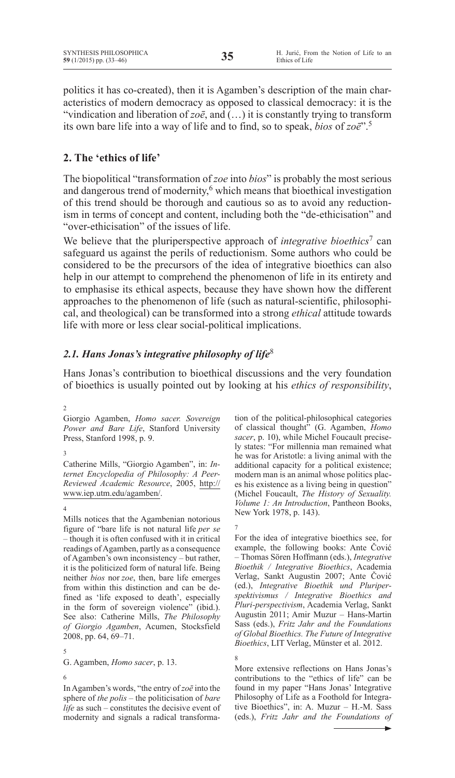politics it has co-created), then it is Agamben's description of the main characteristics of modern democracy as opposed to classical democracy: it is the "vindication and liberation of  $z\circ\bar{e}$ , and  $(...)$  it is constantly trying to transform its own bare life into a way of life and to find, so to speak, *bios* of *zoē*".5

# **2. The 'ethics of life'**

The biopolitical "transformation of *zoe* into *bios*" is probably the most serious and dangerous trend of modernity,<sup>6</sup> which means that bioethical investigation of this trend should be thorough and cautious so as to avoid any reductionism in terms of concept and content, including both the "de-ethicisation" and "over-ethicisation" of the issues of life.

We believe that the pluriperspective approach of *integrative bioethics*<sup>7</sup> can safeguard us against the perils of reductionism. Some authors who could be considered to be the precursors of the idea of integrative bioethics can also help in our attempt to comprehend the phenomenon of life in its entirety and to emphasise its ethical aspects, because they have shown how the different approaches to the phenomenon of life (such as natural-scientific, philosophical, and theological) can be transformed into a strong *ethical* attitude towards life with more or less clear social-political implications.

# *2.1. Hans Jonas's integrative philosophy of life*<sup>8</sup>

Hans Jonas's contribution to bioethical discussions and the very foundation of bioethics is usually pointed out by looking at his *ethics of responsibility*,

## 2

Giorgio Agamben, *Homo sacer. Sovereign Power and Bare Life*, Stanford University Press, Stanford 1998, p. 9.

## 3

Catherine Mills, "Giorgio Agamben", in: *Internet Encyclopedia of Philosophy: A Peer-Reviewed Academic Resource*, 2005, http:// www.iep.utm.edu/agamben/.

## 4

Mills notices that the Agambenian notorious figure of "bare life is not natural life *per se –* though it is often confused with it in critical readings of Agamben, partly as a consequence of Agamben's own inconsistency – but rather, it is the politicized form of natural life. Being neither *bios* nor *zoe*, then, bare life emerges from within this distinction and can be defined as 'life exposed to death', especially in the form of sovereign violence" (ibid.). See also: Catherine Mills, *The Philosophy of Giorgio Agamben*, Acumen, Stocksfield 2008, pp. 64, 69–71.

## 5

G. Agamben, *Homo sacer*, p. 13.

#### 6

InAgamben's words, "the entry of*zoē* into the sphere of *the polis –* the politicisation of *bare life* as such – constitutes the decisive event of modernity and signals a radical transformation of the political-philosophical categories of classical thought" (G. Agamben, *Homo sacer*, p. 10), while Michel Foucault precisely states: "For millennia man remained what he was for Aristotle: a living animal with the additional capacity for a political existence; modern man is an animal whose politics places his existence as a living being in question" (Michel Foucault, *The History of Sexuality. Volume 1: An Introduction*, Pantheon Books, New York 1978, p. 143).

## 7

8

For the idea of integrative bioethics see, for example, the following books: Ante Čović – Thomas Sören Hoffmann (eds.), *Integrative Bioethik / Integrative Bioethics*, Academia Verlag, Sankt Augustin 2007; Ante Čović (ed.), *Integrative Bioethik und Pluriperspektivismus / Integrative Bioethics and Pluri-perspectivism*, Academia Verlag, Sankt Augustin 2011; Amir Muzur – Hans-Martin Sass (eds.), *Fritz Jahr and the Foundations of Global Bioethics. The Future of Integrative Bioethics*, LIT Verlag, Münster et al. 2012.

More extensive reflections on Hans Jonas's contributions to the "ethics of life" can be found in my paper "Hans Jonas' Integrative Philosophy of Life as a Foothold for Integrative Bioethics", in: A. Muzur – H.-M. Sass (eds.), *Fritz Jahr and the Foundations of*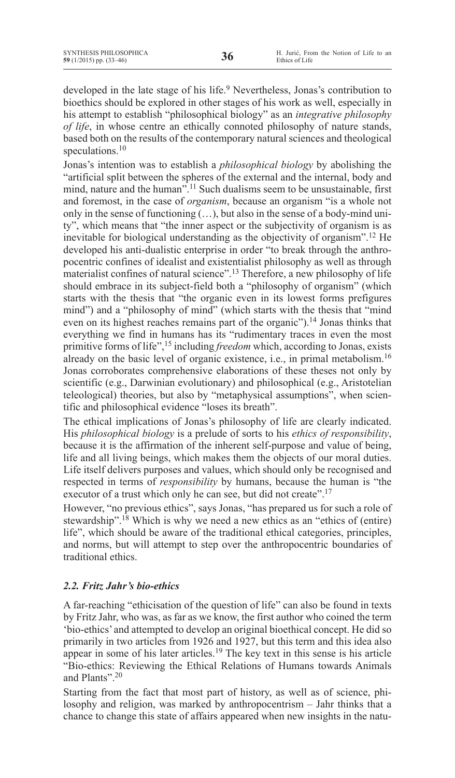developed in the late stage of his life.<sup>9</sup> Nevertheless, Jonas's contribution to bioethics should be explored in other stages of his work as well, especially in his attempt to establish "philosophical biology" as an *integrative philosophy of life*, in whose centre an ethically connoted philosophy of nature stands, based both on the results of the contemporary natural sciences and theological speculations.<sup>10</sup>

Jonas's intention was to establish a *philosophical biology* by abolishing the "artificial split between the spheres of the external and the internal, body and mind, nature and the human".<sup>11</sup> Such dualisms seem to be unsustainable, first and foremost, in the case of *organism*, because an organism "is a whole not only in the sense of functioning (…), but also in the sense of a body-mind unity", which means that "the inner aspect or the subjectivity of organism is as inevitable for biological understanding as the objectivity of organism".12 He developed his anti-dualistic enterprise in order "to break through the anthropocentric confines of idealist and existentialist philosophy as well as through materialist confines of natural science".13 Therefore, a new philosophy of life should embrace in its subject-field both a "philosophy of organism" (which starts with the thesis that "the organic even in its lowest forms prefigures mind") and a "philosophy of mind" (which starts with the thesis that "mind even on its highest reaches remains part of the organic").14 Jonas thinks that everything we find in humans has its "rudimentary traces in even the most primitive forms of life",15 including *freedom* which, according to Jonas, exists already on the basic level of organic existence, i.e., in primal metabolism.16 Jonas corroborates comprehensive elaborations of these theses not only by scientific (e.g., Darwinian evolutionary) and philosophical (e.g., Aristotelian teleological) theories, but also by "metaphysical assumptions", when scientific and philosophical evidence "loses its breath".

The ethical implications of Jonas's philosophy of life are clearly indicated. His *philosophical biology* is a prelude of sorts to his *ethics of responsibility*, because it is the affirmation of the inherent self-purpose and value of being, life and all living beings, which makes them the objects of our moral duties. Life itself delivers purposes and values, which should only be recognised and respected in terms of *responsibility* by humans, because the human is "the executor of a trust which only he can see, but did not create".<sup>17</sup>

However, "no previous ethics", says Jonas, "has prepared us for such a role of stewardship".<sup>18</sup> Which is why we need a new ethics as an "ethics of (entire) life", which should be aware of the traditional ethical categories, principles, and norms, but will attempt to step over the anthropocentric boundaries of traditional ethics.

# *2.2. Fritz Jahr's bio-ethics*

A far-reaching "ethicisation of the question of life" can also be found in texts by Fritz Jahr, who was, as far as we know, the first author who coined the term 'bio-ethics' and attempted to develop an original bioethical concept. He did so primarily in two articles from 1926 and 1927, but this term and this idea also appear in some of his later articles.<sup>19</sup> The key text in this sense is his article "Bio-ethics: Reviewing the Ethical Relations of Humans towards Animals and Plants".20

Starting from the fact that most part of history, as well as of science, philosophy and religion, was marked by anthropocentrism – Jahr thinks that a chance to change this state of affairs appeared when new insights in the natu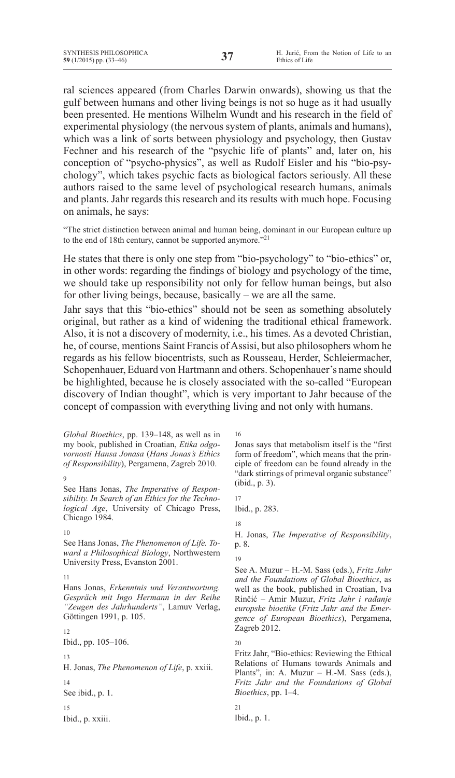ral sciences appeared (from Charles Darwin onwards), showing us that the gulf between humans and other living beings is not so huge as it had usually been presented. He mentions Wilhelm Wundt and his research in the field of experimental physiology (the nervous system of plants, animals and humans), which was a link of sorts between physiology and psychology, then Gustav Fechner and his research of the "psychic life of plants" and, later on, his conception of "psycho-physics", as well as Rudolf Eisler and his "bio-psychology", which takes psychic facts as biological factors seriously. All these authors raised to the same level of psychological research humans, animals and plants. Jahr regards this research and its results with much hope. Focusing on animals, he says:

"The strict distinction between animal and human being, dominant in our European culture up to the end of 18th century, cannot be supported anymore."<sup>21</sup>

He states that there is only one step from "bio-psychology" to "bio-ethics" or, in other words: regarding the findings of biology and psychology of the time, we should take up responsibility not only for fellow human beings, but also for other living beings, because, basically – we are all the same.

Jahr says that this "bio-ethics" should not be seen as something absolutely original, but rather as a kind of widening the traditional ethical framework. Also, it is not a discovery of modernity, i.e., his times. As a devoted Christian, he, of course, mentions Saint Francis of Assisi, but also philosophers whom he regards as his fellow biocentrists, such as Rousseau, Herder, Schleiermacher, Schopenhauer, Eduard von Hartmann and others. Schopenhauer's name should be highlighted, because he is closely associated with the so-called "European discovery of Indian thought", which is very important to Jahr because of the concept of compassion with everything living and not only with humans.

*Global Bioethics*, pp. 139–148, as well as in my book, published in Croatian, *Etika odgovornosti Hansa Jonasa* (*Hans Jonas's Ethics of Responsibility*), Pergamena, Zagreb 2010.

 $\alpha$ 

See Hans Jonas, *The Imperative of Responsibility. In Search of an Ethics for the Technological Age*, University of Chicago Press, Chicago 1984.

#### 10

See Hans Jonas, *The Phenomenon of Life. Toward a Philosophical Biology*, Northwestern University Press, Evanston 2001.

#### 11

Hans Jonas, *Erkenntnis und Verantwortung. Gespräch mit Ingo Hermann in der Reihe "Zeugen des Jahrhunderts"*, Lamuv Verlag, Göttingen 1991, p. 105.

#### 12

Ibid., pp. 105–106.

#### 13

H. Jonas, *The Phenomenon of Life*, p. xxiii.

14 See ibid., p. 1.

15

Ibid., p. xxiii.

16

Jonas says that metabolism itself is the "first form of freedom", which means that the principle of freedom can be found already in the "dark stirrings of primeval organic substance" (ibid., p. 3).

17 Ibid., p. 283.

## 18

H. Jonas, *The Imperative of Responsibility*, p. 8.

#### 19

See A. Muzur – H.-M. Sass (eds.), *Fritz Jahr and the Foundations of Global Bioethics*, as well as the book, published in Croatian, Iva Rinčić – Amir Muzur, *Fritz Jahr i rađanje europske bioetike* (*Fritz Jahr and the Emergence of European Bioethics*), Pergamena, Zagreb 2012.

# 20

Fritz Jahr, "Bio-ethics: Reviewing the Ethical Relations of Humans towards Animals and Plants", in: A. Muzur – H.-M. Sass (eds.), *Fritz Jahr and the Foundations of Global Bioethics*, pp. 1–4.

21

Ibid., p. 1.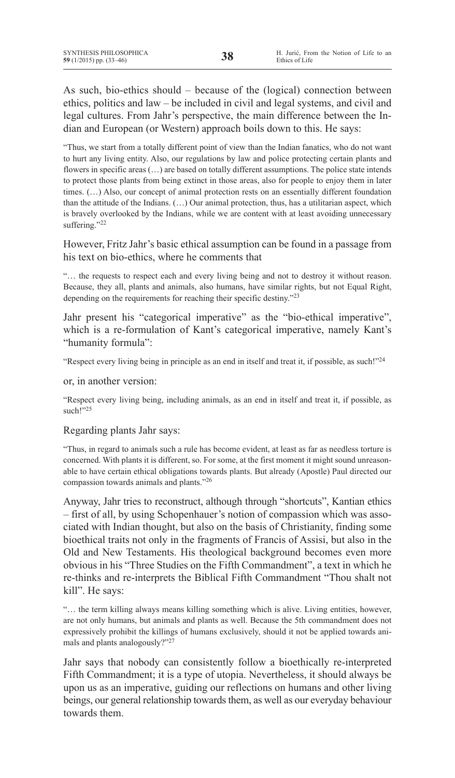As such, bio-ethics should – because of the (logical) connection between ethics, politics and law – be included in civil and legal systems, and civil and legal cultures. From Jahr's perspective, the main difference between the Indian and European (or Western) approach boils down to this. He says:

"Thus, we start from a totally different point of view than the Indian fanatics, who do not want to hurt any living entity. Also, our regulations by law and police protecting certain plants and flowers in specific areas (...) are based on totally different assumptions. The police state intends to protect those plants from being extinct in those areas, also for people to enjoy them in later times. (…) Also, our concept of animal protection rests on an essentially different foundation than the attitude of the Indians. (…) Our animal protection, thus, has a utilitarian aspect, which is bravely overlooked by the Indians, while we are content with at least avoiding unnecessary suffering."22

However, Fritz Jahr's basic ethical assumption can be found in a passage from his text on bio-ethics, where he comments that

"… the requests to respect each and every living being and not to destroy it without reason. Because, they all, plants and animals, also humans, have similar rights, but not Equal Right, depending on the requirements for reaching their specific destiny."23

Jahr present his "categorical imperative" as the "bio-ethical imperative", which is a re-formulation of Kant's categorical imperative, namely Kant's "humanity formula":

"Respect every living being in principle as an end in itself and treat it, if possible, as such!"24

or, in another version:

"Respect every living being, including animals, as an end in itself and treat it, if possible, as such!"25

# Regarding plants Jahr says:

"Thus, in regard to animals such a rule has become evident, at least as far as needless torture is concerned. With plants it is different, so. For some, at the first moment it might sound unreasonable to have certain ethical obligations towards plants. But already (Apostle) Paul directed our compassion towards animals and plants."26

Anyway, Jahr tries to reconstruct, although through "shortcuts", Kantian ethics – first of all, by using Schopenhauer's notion of compassion which was associated with Indian thought, but also on the basis of Christianity, finding some bioethical traits not only in the fragments of Francis of Assisi, but also in the Old and New Testaments. His theological background becomes even more obvious in his "Three Studies on the Fifth Commandment", a text in which he re-thinks and re-interprets the Biblical Fifth Commandment "Thou shalt not kill". He says:

"… the term killing always means killing something which is alive. Living entities, however, are not only humans, but animals and plants as well. Because the 5th commandment does not expressively prohibit the killings of humans exclusively, should it not be applied towards animals and plants analogously?"27

Jahr says that nobody can consistently follow a bioethically re-interpreted Fifth Commandment; it is a type of utopia. Nevertheless, it should always be upon us as an imperative, guiding our reflections on humans and other living beings, our general relationship towards them, as well as our everyday behaviour towards them.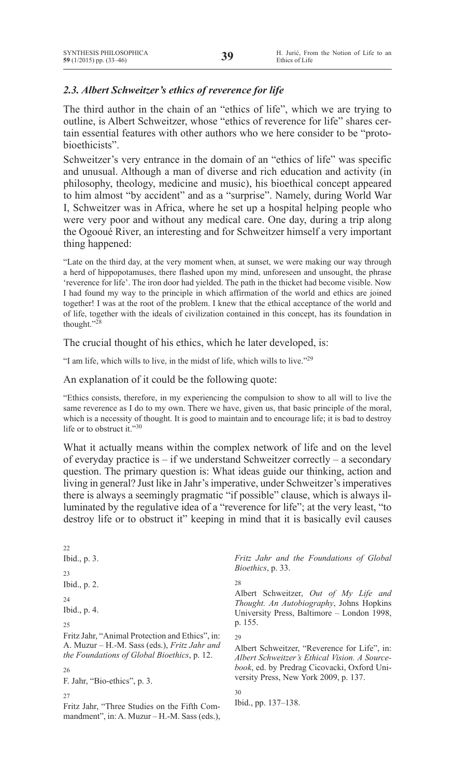# *2.3. Albert Schweitzer's ethics of reverence for life*

The third author in the chain of an "ethics of life", which we are trying to outline, is Albert Schweitzer, whose "ethics of reverence for life" shares certain essential features with other authors who we here consider to be "protobioethicists".

Schweitzer's very entrance in the domain of an "ethics of life" was specific and unusual. Although a man of diverse and rich education and activity (in philosophy, theology, medicine and music), his bioethical concept appeared to him almost "by accident" and as a "surprise". Namely, during World War I, Schweitzer was in Africa, where he set up a hospital helping people who were very poor and without any medical care. One day, during a trip along the Ogooué River, an interesting and for Schweitzer himself a very important thing happened:

"Late on the third day, at the very moment when, at sunset, we were making our way through a herd of hippopotamuses, there flashed upon my mind, unforeseen and unsought, the phrase 'reverence for life'. The iron door had yielded. The path in the thicket had become visible. Now I had found my way to the principle in which affirmation of the world and ethics are joined together! I was at the root of the problem. I knew that the ethical acceptance of the world and of life, together with the ideals of civilization contained in this concept, has its foundation in thought."28

The crucial thought of his ethics, which he later developed, is:

"I am life, which wills to live, in the midst of life, which wills to live."29

An explanation of it could be the following quote:

"Ethics consists, therefore, in my experiencing the compulsion to show to all will to live the same reverence as I do to my own. There we have, given us, that basic principle of the moral, which is a necessity of thought. It is good to maintain and to encourage life; it is bad to destroy life or to obstruct it."30

What it actually means within the complex network of life and on the level of everyday practice is – if we understand Schweitzer correctly – a secondary question. The primary question is: What ideas guide our thinking, action and living in general? Just like in Jahr'simperative, under Schweitzer'simperatives there is always a seemingly pragmatic "if possible" clause, which is always illuminated by the regulative idea of a "reverence for life"; at the very least, "to destroy life or to obstruct it" keeping in mind that it is basically evil causes

| 22                                                                                                                                                                                                 |                                                                                                                                                                                                     |
|----------------------------------------------------------------------------------------------------------------------------------------------------------------------------------------------------|-----------------------------------------------------------------------------------------------------------------------------------------------------------------------------------------------------|
| Ibid., p. 3.                                                                                                                                                                                       | Fritz Jahr and the Foundations of Global<br>Bioethics, p. 33.                                                                                                                                       |
| 23<br>Ibid., p. 2.<br>24<br>Ibid., p. 4.                                                                                                                                                           | 28<br>Albert Schweitzer, Out of My Life and<br><i>Thought. An Autobiography</i> , Johns Hopkins<br>University Press, Baltimore – London 1998,                                                       |
| 25                                                                                                                                                                                                 | p. 155.                                                                                                                                                                                             |
| Fritz Jahr, "Animal Protection and Ethics", in:<br>A. Muzur – H.-M. Sass (eds.), <i>Fritz Jahr and</i><br><i>the Foundations of Global Bioethics, p. 12.</i><br>26<br>F. Jahr, "Bio-ethics", p. 3. | 29<br>Albert Schweitzer, "Reverence for Life", in:<br>Albert Schweitzer's Ethical Vision. A Source-<br><i>book</i> , ed. by Predrag Cicovacki, Oxford Uni-<br>versity Press, New York 2009, p. 137. |
| 27<br>Fritz Jahr, "Three Studies on the Fifth Com-<br>mandment", in: A. Muzur $-H.-M.$ Sass (eds.),                                                                                                | 30<br>Ibid., pp. 137–138.                                                                                                                                                                           |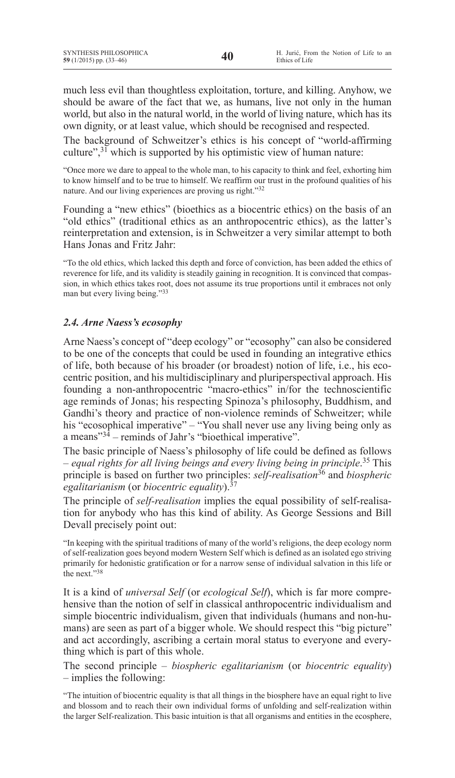much less evil than thoughtless exploitation, torture, and killing. Anyhow, we should be aware of the fact that we, as humans, live not only in the human world, but also in the natural world, in the world of living nature, which has its own dignity, or at least value, which should be recognised and respected.

The background of Schweitzer's ethics is his concept of "world-affirming culture", $31$  which is supported by his optimistic view of human nature:

"Once more we dare to appeal to the whole man, to his capacity to think and feel, exhorting him to know himself and to be true to himself. We reaffirm our trust in the profound qualities of his nature. And our living experiences are proving us right."32

Founding a "new ethics" (bioethics as a biocentric ethics) on the basis of an "old ethics" (traditional ethics as an anthropocentric ethics), as the latter's reinterpretation and extension, is in Schweitzer a very similar attempt to both Hans Jonas and Fritz Jahr:

"To the old ethics, which lacked this depth and force of conviction, has been added the ethics of reverence for life, and its validity is steadily gaining in recognition. It is convinced that compassion, in which ethics takes root, does not assume its true proportions until it embraces not only man but every living being."33

# *2.4. Arne Naess's ecosophy*

Arne Naess's concept of "deep ecology" or "ecosophy" can also be considered to be one of the concepts that could be used in founding an integrative ethics of life, both because of his broader (or broadest) notion of life, i.e., his ecocentric position, and his multidisciplinary and pluriperspectival approach. His founding a non-anthropocentric "macro-ethics" in/for the technoscientific age reminds of Jonas; his respecting Spinoza's philosophy, Buddhism, and Gandhi's theory and practice of non-violence reminds of Schweitzer; while his "ecosophical imperative" – "You shall never use any living being only as a means"34 – reminds of Jahr's "bioethical imperative".

The basic principle of Naess's philosophy of life could be defined as follows – *equal rights for all living beings and every living being in principle*. <sup>35</sup> This principle is based on further two principles: *self-realisation*<sup>36</sup> and *biospheric egalitarianism* (or *biocentric equality*).37

The principle of *self-realisation* implies the equal possibility of self-realisation for anybody who has this kind of ability. As George Sessions and Bill Devall precisely point out:

"In keeping with the spiritual traditions of many of the world's religions, the deep ecology norm of self-realization goes beyond modern Western Self which is defined as an isolated ego striving primarily for hedonistic gratification or for a narrow sense of individual salvation in this life or the next."38

It is a kind of *universal Self* (or *ecological Self*), which is far more comprehensive than the notion of self in classical anthropocentric individualism and simple biocentric individualism, given that individuals (humans and non-humans) are seen as part of a bigger whole. We should respect this "big picture" and act accordingly, ascribing a certain moral status to everyone and everything which is part of this whole.

The second principle – *biospheric egalitarianism* (or *biocentric equality*) – implies the following:

"The intuition of biocentric equality is that all things in the biosphere have an equal right to live and blossom and to reach their own individual forms of unfolding and self-realization within the larger Self-realization. This basic intuition is that all organisms and entities in the ecosphere,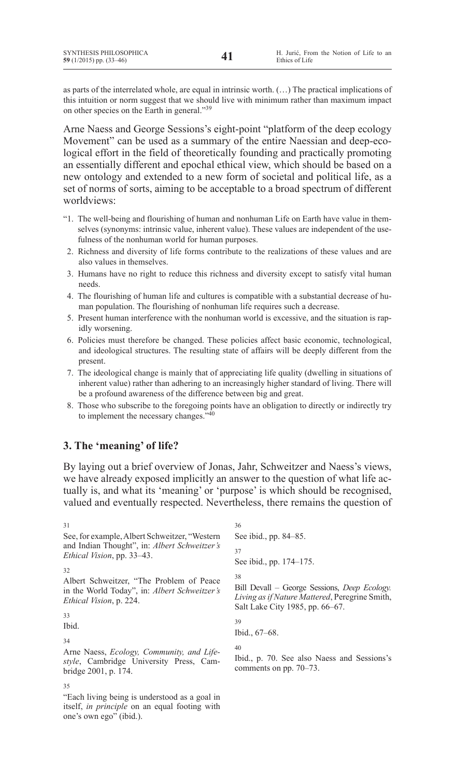as parts of the interrelated whole, are equal in intrinsic worth. (…) The practical implications of this intuition or norm suggest that we should live with minimum rather than maximum impact on other species on the Earth in general."39

Arne Naess and George Sessions's eight-point "platform of the deep ecology Movement" can be used as a summary of the entire Naessian and deep-ecological effort in the field of theoretically founding and practically promoting an essentially different and epochal ethical view, which should be based on a new ontology and extended to a new form of societal and political life, as a set of norms of sorts, aiming to be acceptable to a broad spectrum of different worldviews:

- "1. The well-being and flourishing of human and nonhuman Life on Earth have value in themselves (synonyms: intrinsic value, inherent value). These values are independent of the usefulness of the nonhuman world for human purposes.
- 2. Richness and diversity of life forms contribute to the realizations of these values and are also values in themselves.
- 3. Humans have no right to reduce this richness and diversity except to satisfy vital human needs.
- 4. The flourishing of human life and cultures is compatible with a substantial decrease of human population. The flourishing of nonhuman life requires such a decrease.
- 5. Present human interference with the nonhuman world is excessive, and the situation is rapidly worsening.
- 6. Policies must therefore be changed. These policies affect basic economic, technological, and ideological structures. The resulting state of affairs will be deeply different from the present.
- 7. The ideological change is mainly that of appreciating life quality (dwelling in situations of inherent value) rather than adhering to an increasingly higher standard of living. There will be a profound awareness of the difference between big and great.
- 8. Those who subscribe to the foregoing points have an obligation to directly or indirectly try to implement the necessary changes."40

# **3. The 'meaning' of life?**

By laying out a brief overview of Jonas, Jahr, Schweitzer and Naess's views, we have already exposed implicitly an answer to the question of what life actually is, and what its 'meaning' or 'purpose' is which should be recognised, valued and eventually respected. Nevertheless, there remains the question of

```
31
See,for example,Albert Schweitzer, "Western
and Indian Thought", in: Albert Schweitzer's 
Ethical Vision, pp. 33–43.
32
Albert Schweitzer, "The Problem of Peace
in the World Today", in: Albert Schweitzer's 
Ethical Vision, p. 224.
33
Ibid.
34
Arne Naess, Ecology, Community, and Life-
style, Cambridge University Press, Cam-
bridge 2001, p. 174.
35
                                                 36
                                                See ibid., pp. 84–85.
                                                37
                                                See ibid., pp. 174–175.
                                                38
                                                Bill Devall – George Sessions, Deep Ecology. 
                                                Living as if Nature Mattered, Peregrine Smith,
                                                Salt Lake City 1985, pp. 66–67.
                                                39
                                                Ibid., 67–68.
                                                40
                                                Ibid., p. 70. See also Naess and Sessions's
                                                comments on pp. 70–73.
```
"Each living being is understood as a goal in itself, *in principle* on an equal footing with one's own ego" (ibid.).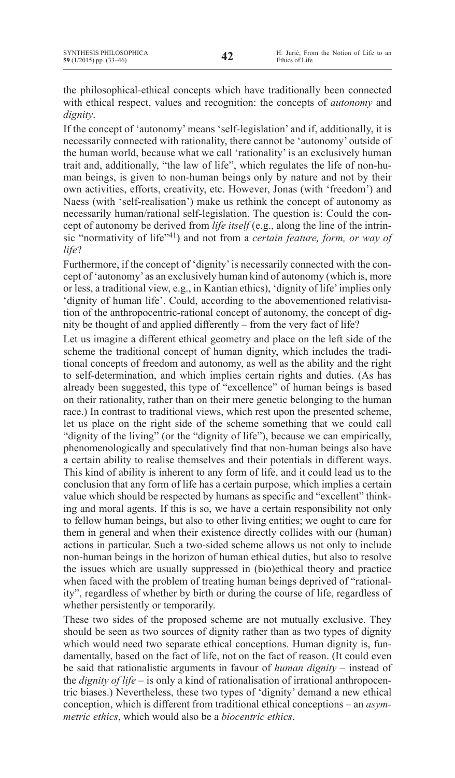the philosophical-ethical concepts which have traditionally been connected with ethical respect, values and recognition: the concepts of *autonomy* and *dignity*.

If the concept of 'autonomy' means 'self-legislation' and if, additionally, it is necessarily connected with rationality, there cannot be 'autonomy' outside of the human world, because what we call 'rationality' is an exclusively human trait and, additionally, "the law of life", which regulates the life of non-human beings, is given to non-human beings only by nature and not by their own activities, efforts, creativity, etc. However, Jonas (with 'freedom') and Naess (with 'self-realisation') make us rethink the concept of autonomy as necessarily human/rational self-legislation. The question is: Could the concept of autonomy be derived from *life itself* (e.g., along the line of the intrinsic "normativity of life"41) and not from a *certain feature, form, or way of life*?

Furthermore, if the concept of 'dignity'is necessarily connected with the concept of 'autonomy' as an exclusively human kind of autonomy (which is, more or less, a traditional view, e.g., in Kantian ethics), 'dignity of life'implies only 'dignity of human life'. Could, according to the abovementioned relativisation of the anthropocentric-rational concept of autonomy, the concept of dignity be thought of and applied differently – from the very fact of life?

Let us imagine a different ethical geometry and place on the left side of the scheme the traditional concept of human dignity, which includes the traditional concepts of freedom and autonomy, as well as the ability and the right to self-determination, and which implies certain rights and duties. (As has already been suggested, this type of "excellence" of human beings is based on their rationality, rather than on their mere genetic belonging to the human race.) In contrast to traditional views, which rest upon the presented scheme, let us place on the right side of the scheme something that we could call "dignity of the living" (or the "dignity of life"), because we can empirically, phenomenologically and speculatively find that non-human beings also have a certain ability to realise themselves and their potentials in different ways. This kind of ability is inherent to any form of life, and it could lead us to the conclusion that any form of life has a certain purpose, which implies a certain value which should be respected by humans as specific and "excellent" thinking and moral agents. If this is so, we have a certain responsibility not only to fellow human beings, but also to other living entities; we ought to care for them in general and when their existence directly collides with our (human) actions in particular. Such a two-sided scheme allows us not only to include non-human beings in the horizon of human ethical duties, but also to resolve the issues which are usually suppressed in (bio)ethical theory and practice when faced with the problem of treating human beings deprived of "rationality", regardless of whether by birth or during the course of life, regardless of whether persistently or temporarily.

These two sides of the proposed scheme are not mutually exclusive. They should be seen as two sources of dignity rather than as two types of dignity which would need two separate ethical conceptions. Human dignity is, fundamentally, based on the fact of life, not on the fact of reason. (It could even be said that rationalistic arguments in favour of *human dignity* – instead of the *dignity of life* – is only a kind of rationalisation of irrational anthropocentric biases.) Nevertheless, these two types of 'dignity' demand a new ethical conception, which is different from traditional ethical conceptions – an *asymmetric ethics*, which would also be a *biocentric ethics*.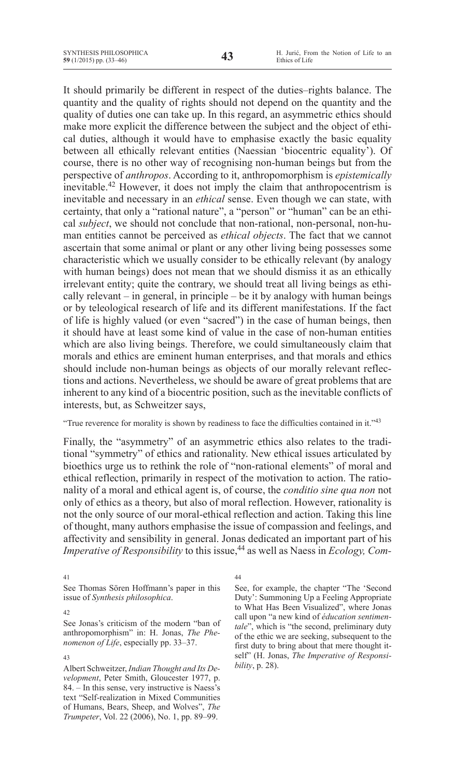It should primarily be different in respect of the duties–rights balance. The quantity and the quality of rights should not depend on the quantity and the quality of duties one can take up. In this regard, an asymmetric ethics should make more explicit the difference between the subject and the object of ethical duties, although it would have to emphasise exactly the basic equality between all ethically relevant entities (Naessian 'biocentric equality'). Of course, there is no other way of recognising non-human beings but from the perspective of *anthropos*. According to it, anthropomorphism is *epistemically* inevitable.42 However, it does not imply the claim that anthropocentrism is inevitable and necessary in an *ethical* sense. Even though we can state, with certainty, that only a "rational nature", a "person" or "human" can be an ethical *subject*, we should not conclude that non-rational, non-personal, non-human entities cannot be perceived as *ethical objects*. The fact that we cannot ascertain that some animal or plant or any other living being possesses some characteristic which we usually consider to be ethically relevant (by analogy with human beings) does not mean that we should dismiss it as an ethically irrelevant entity; quite the contrary, we should treat all living beings as ethically relevant – in general, in principle – be it by analogy with human beings or by teleological research of life and its different manifestations. If the fact of life is highly valued (or even "sacred") in the case of human beings, then it should have at least some kind of value in the case of non-human entities which are also living beings. Therefore, we could simultaneously claim that morals and ethics are eminent human enterprises, and that morals and ethics should include non-human beings as objects of our morally relevant reflections and actions. Nevertheless, we should be aware of great problems that are inherent to any kind of a biocentric position, such as the inevitable conflicts of interests, but, as Schweitzer says,

"True reverence for morality is shown by readiness to face the difficulties contained in it."43

Finally, the "asymmetry" of an asymmetric ethics also relates to the traditional "symmetry" of ethics and rationality. New ethical issues articulated by bioethics urge us to rethink the role of "non-rational elements" of moral and ethical reflection, primarily in respect of the motivation to action. The rationality of a moral and ethical agent is, of course, the *conditio sine qua non* not only of ethics as a theory, but also of moral reflection. However, rationality is not the only source of our moral-ethical reflection and action. Taking this line of thought, many authors emphasise the issue of compassion and feelings, and affectivity and sensibility in general. Jonas dedicated an important part of his *Imperative of Responsibility* to this issue,<sup>44</sup> as well as Naess in *Ecology, Com-*

41

See Thomas Sören Hoffmann's paper in this issue of *Synthesis philosophica*.

#### 43

Albert Schweitzer, *Indian Thought and Its Development*, Peter Smith, Gloucester 1977, p. 84. – In this sense, very instructive is Naess's text "Self-realization in Mixed Communities of Humans, Bears, Sheep, and Wolves", *The Trumpeter*, Vol. 22 (2006), No. 1, pp. 89–99.

44

See, for example, the chapter "The 'Second Duty': Summoning Up a Feeling Appropriate to What Has Been Visualized", where Jonas call upon "a new kind of *éducation sentimen*tale", which is "the second, preliminary duty of the ethic we are seeking, subsequent to the first duty to bring about that mere thought itself" (H. Jonas, *The Imperative of Responsibility*, p. 28).

<sup>42</sup>

See Jonas's criticism of the modern "ban of anthropomorphism" in: H. Jonas, *The Phenomenon of Life*, especially pp. 33–37.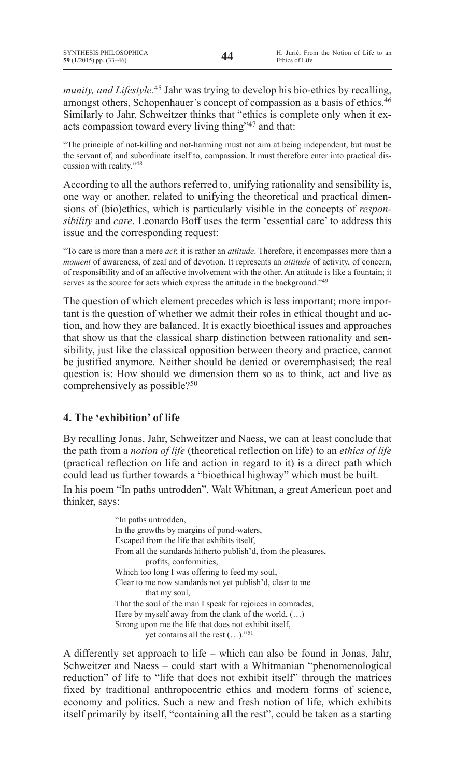*munity, and Lifestyle*. <sup>45</sup> Jahr was trying to develop his bio-ethics by recalling, amongst others, Schopenhauer's concept of compassion as a basis of ethics.<sup>46</sup> Similarly to Jahr, Schweitzer thinks that "ethics is complete only when it exacts compassion toward every living thing"47 and that:

"The principle of not-killing and not-harming must not aim at being independent, but must be the servant of, and subordinate itself to, compassion. It must therefore enter into practical discussion with reality."<sup>48</sup>

According to all the authors referred to, unifying rationality and sensibility is, one way or another, related to unifying the theoretical and practical dimensions of (bio)ethics, which is particularly visible in the concepts of *responsibility* and *care*. Leonardo Boff uses the term 'essential care' to address this issue and the corresponding request:

"To care is more than a mere *act*; it is rather an *attitude*. Therefore, it encompasses more than a *moment* of awareness, of zeal and of devotion. It represents an *attitude* of activity, of concern, of responsibility and of an affective involvement with the other. An attitude is like a fountain; it serves as the source for acts which express the attitude in the background."<sup>49</sup>

The question of which element precedes which is less important; more important is the question of whether we admit their roles in ethical thought and action, and how they are balanced. It is exactly bioethical issues and approaches that show us that the classical sharp distinction between rationality and sensibility, just like the classical opposition between theory and practice, cannot be justified anymore. Neither should be denied or overemphasised; the real question is: How should we dimension them so as to think, act and live as comprehensively as possible?<sup>50</sup>

# **4. The 'exhibition' of life**

By recalling Jonas, Jahr, Schweitzer and Naess, we can at least conclude that the path from a *notion of life* (theoretical reflection on life) to an *ethics of life* (practical reflection on life and action in regard to it) is a direct path which could lead us further towards a "bioethical highway" which must be built.

In his poem "In paths untrodden", Walt Whitman, a great American poet and thinker, says:

> "In paths untrodden, In the growths by margins of pond-waters, Escaped from the life that exhibits itself, From all the standards hitherto publish'd, from the pleasures, profits, conformities, Which too long I was offering to feed my soul, Clear to me now standards not yet publish'd, clear to me that my soul, That the soul of the man I speak for rejoices in comrades, Here by myself away from the clank of the world,  $(...)$ Strong upon me the life that does not exhibit itself, yet contains all the rest (…)."51

A differently set approach to life – which can also be found in Jonas, Jahr, Schweitzer and Naess – could start with a Whitmanian "phenomenological reduction" of life to "life that does not exhibit itself" through the matrices fixed by traditional anthropocentric ethics and modern forms of science, economy and politics. Such a new and fresh notion of life, which exhibits itself primarily by itself, "containing all the rest", could be taken as a starting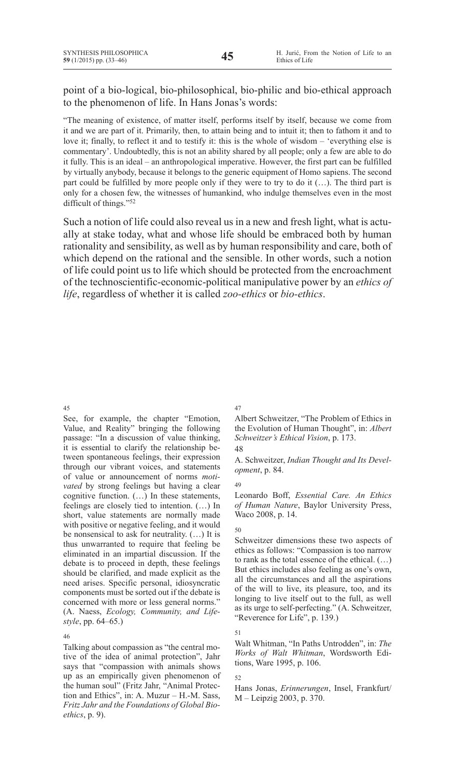# point of a bio-logical, bio-philosophical, bio-philic and bio-ethical approach to the phenomenon of life. In Hans Jonas's words:

"The meaning of existence, of matter itself, performs itself by itself, because we come from it and we are part of it. Primarily, then, to attain being and to intuit it; then to fathom it and to love it; finally, to reflect it and to testify it: this is the whole of wisdom – 'everything else is commentary'. Undoubtedly, this is not an ability shared by all people; only a few are able to do it fully. This is an ideal – an anthropological imperative. However, the first part can be fulfilled by virtually anybody, because it belongs to the generic equipment of Homo sapiens. The second part could be fulfilled by more people only if they were to try to do it (…). The third part is only for a chosen few, the witnesses of humankind, who indulge themselves even in the most difficult of things."<sup>52</sup>

Such a notion of life could also reveal us in a new and fresh light, what is actually at stake today, what and whose life should be embraced both by human rationality and sensibility, as well as by human responsibility and care, both of which depend on the rational and the sensible. In other words, such a notion of life could point us to life which should be protected from the encroachment of the technoscientific-economic-political manipulative power by an *ethics of life*, regardless of whether it is called *zoo-ethics* or *bio-ethics*.

45

See, for example, the chapter "Emotion, Value, and Reality" bringing the following passage: "In a discussion of value thinking, it is essential to clarify the relationship between spontaneous feelings, their expression through our vibrant voices, and statements of value or announcement of norms *motivated* by strong feelings but having a clear cognitive function. (…) In these statements, feelings are closely tied to intention. (…) In short, value statements are normally made with positive or negative feeling, and it would be nonsensical to ask for neutrality. (…) It is thus unwarranted to require that feeling be eliminated in an impartial discussion. If the debate is to proceed in depth, these feelings should be clarified, and made explicit as the need arises. Specific personal, idiosyncratic components must be sorted out if the debate is concerned with more or less general norms." (A. Naess, *Ecology, Community, and Lifestyle*, pp. 64–65.)

#### 46

Talking about compassion as "the central motive of the idea of animal protection", Jahr says that "compassion with animals shows up as an empirically given phenomenon of the human soul" (Fritz Jahr, "Animal Protection and Ethics", in: A. Muzur – H.-M. Sass, *Fritz Jahr and the Foundations of Global Bioethics*, p. 9).

## 47

Albert Schweitzer, "The Problem of Ethics in the Evolution of Human Thought", in: *Albert Schweitzer's Ethical Vision*, p. 173.

## 48

A. Schweitzer, *Indian Thought and Its Development*, p. 84.

## 49

Leonardo Boff, *Essential Care. An Ethics of Human Nature*, Baylor University Press, Waco 2008, p. 14.

## $50$

Schweitzer dimensions these two aspects of ethics as follows: "Compassion is too narrow to rank as the total essence of the ethical. (…) But ethics includes also feeling as one's own, all the circumstances and all the aspirations of the will to live, its pleasure, too, and its longing to live itself out to the full, as well as its urge to self-perfecting." (A. Schweitzer, "Reverence for Life", p. 139.)

## 51

Walt Whitman, "In Paths Untrodden", in: *The Works of Walt Whitman*, Wordsworth Editions, Ware 1995, p. 106.

## 52

Hans Jonas, *Erinnerungen*, Insel, Frankfurt/ M – Leipzig 2003, p. 370.